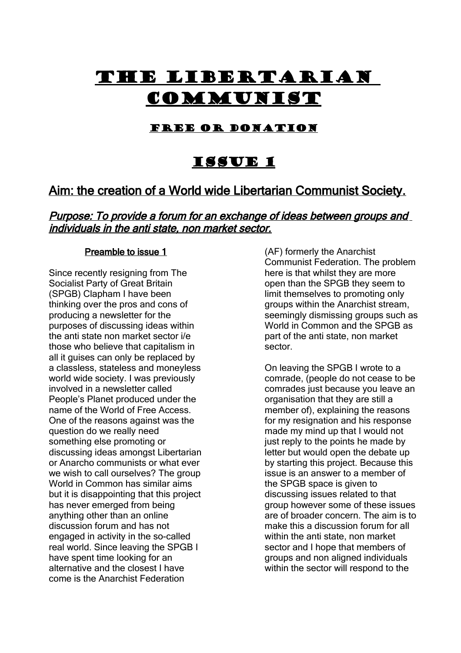# The Libertarian **COMMUNIST**

## Free or Donation

# Issue 1

## Aim: the creation of a World wide Libertarian Communist Society.

## Purpose: To provide a forum for an exchange of ideas between groups and individuals in the anti state, non market sector.

#### Preamble to issue 1

Since recently resigning from The Socialist Party of Great Britain (SPGB) Clapham I have been thinking over the pros and cons of producing a newsletter for the purposes of discussing ideas within the anti state non market sector i/e those who believe that capitalism in all it guises can only be replaced by a classless, stateless and moneyless world wide society. I was previously involved in a newsletter called People's Planet produced under the name of the World of Free Access. One of the reasons against was the question do we really need something else promoting or discussing ideas amongst Libertarian or Anarcho communists or what ever we wish to call ourselves? The group World in Common has similar aims but it is disappointing that this project has never emerged from being anything other than an online discussion forum and has not engaged in activity in the so-called real world. Since leaving the SPGB I have spent time looking for an alternative and the closest I have come is the Anarchist Federation

(AF) formerly the Anarchist Communist Federation. The problem here is that whilst they are more open than the SPGB they seem to limit themselves to promoting only groups within the Anarchist stream, seemingly dismissing groups such as World in Common and the SPGB as part of the anti state, non market sector.

On leaving the SPGB I wrote to a comrade, (people do not cease to be comrades just because you leave an organisation that they are still a member of), explaining the reasons for my resignation and his response made my mind up that I would not just reply to the points he made by letter but would open the debate up by starting this project. Because this issue is an answer to a member of the SPGB space is given to discussing issues related to that group however some of these issues are of broader concern. The aim is to make this a discussion forum for all within the anti state, non market sector and I hope that members of groups and non aligned individuals within the sector will respond to the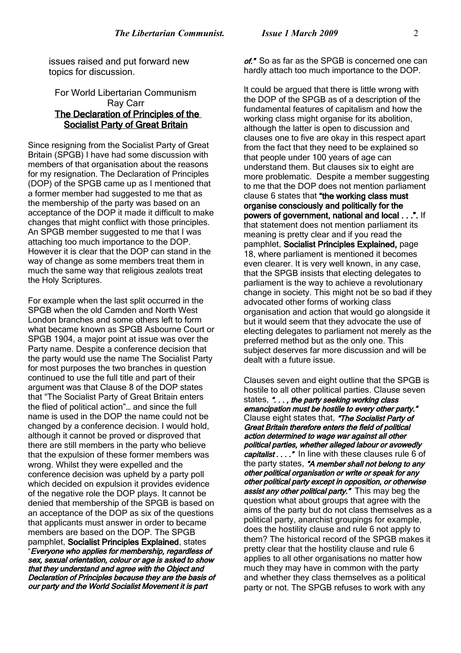issues raised and put forward new topics for discussion.

#### For World Libertarian Communism Ray Carr The Declaration of Principles of the Socialist Party of Great Britain

Since resigning from the Socialist Party of Great Britain (SPGB) I have had some discussion with members of that organisation about the reasons for my resignation. The Declaration of Principles (DOP) of the SPGB came up as I mentioned that a former member had suggested to me that as the membership of the party was based on an acceptance of the DOP it made it difficult to make changes that might conflict with those principles. An SPGB member suggested to me that I was attaching too much importance to the DOP. However it is clear that the DOP can stand in the way of change as some members treat them in much the same way that religious zealots treat the Holy Scriptures.

For example when the last split occurred in the SPGB when the old Camden and North West London branches and some others left to form what became known as SPGB Asbourne Court or SPGB 1904, a major point at issue was over the Party name. Despite a conference decision that the party would use the name The Socialist Party for most purposes the two branches in question continued to use the full title and part of their argument was that Clause 8 of the DOP states that "The Socialist Party of Great Britain enters the flied of political action"… and since the full name is used in the DOP the name could not be changed by a conference decision. I would hold, although it cannot be proved or disproved that there are still members in the party who believe that the expulsion of these former members was wrong. Whilst they were expelled and the conference decision was upheld by a party poll which decided on expulsion it provides evidence of the negative role the DOP plays. It cannot be denied that membership of the SPGB is based on an acceptance of the DOP as six of the questions that applicants must answer in order to became members are based on the DOP. The SPGB pamphlet, Socialist Principles Explained, states "Everyone who applies for membership, regardless of sex, sexual orientation, colour or age is asked to show that they understand and agree with the Object and Declaration of Principles because they are the basis of our party and the World Socialist Movement it is part

of." So as far as the SPGB is concerned one can hardly attach too much importance to the DOP.

It could be argued that there is little wrong with the DOP of the SPGB as of a description of the fundamental features of capitalism and how the working class might organise for its abolition. although the latter is open to discussion and clauses one to five are okay in this respect apart from the fact that they need to be explained so that people under 100 years of age can understand them. But clauses six to eight are more problematic. Despite a member suggesting to me that the DOP does not mention parliament clause 6 states that "the working class must organise consciously and politically for the powers of government, national and local . . .". If that statement does not mention parliament its meaning is pretty clear and if you read the pamphlet, Socialist Principles Explained, page 18, where parliament is mentioned it becomes even clearer. It is very well known, in any case, that the SPGB insists that electing delegates to parliament is the way to achieve a revolutionary change in society. This might not be so bad if they advocated other forms of working class organisation and action that would go alongside it but it would seem that they advocate the use of electing delegates to parliament not merely as the preferred method but as the only one. This subject deserves far more discussion and will be dealt with a future issue.

Clauses seven and eight outline that the SPGB is hostile to all other political parties. Clause seven states, "..., the party seeking working class emancipation must be hostile to every other party." Clause eight states that, "The Socialist Party of Great Britain therefore enters the field of political action determined to wage war against all other political parties, whether alleged labour or avowedly capitalist . . . . " In line with these clauses rule 6 of the party states, "A member shall not belong to any other political organisation or write or speak for any other political party except in opposition, or otherwise assist any other political party." This may beg the question what about groups that agree with the aims of the party but do not class themselves as a political party, anarchist groupings for example, does the hostility clause and rule 6 not apply to them? The historical record of the SPGB makes it pretty clear that the hostility clause and rule 6 applies to all other organisations no matter how much they may have in common with the party and whether they class themselves as a political party or not. The SPGB refuses to work with any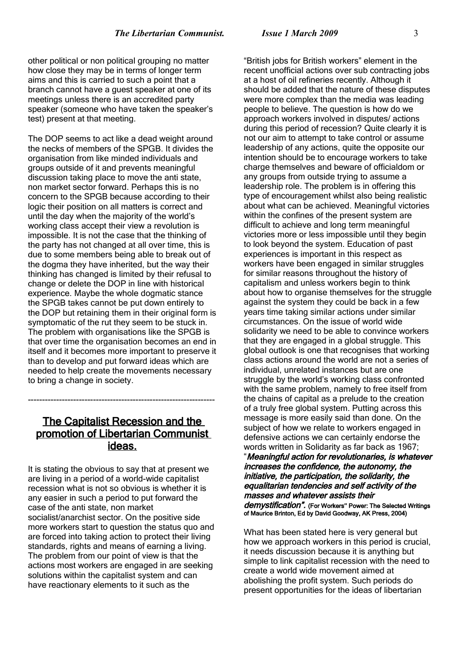other political or non political grouping no matter how close they may be in terms of longer term aims and this is carried to such a point that a branch cannot have a guest speaker at one of its meetings unless there is an accredited party speaker (someone who have taken the speaker's test) present at that meeting.

The DOP seems to act like a dead weight around the necks of members of the SPGB. It divides the organisation from like minded individuals and groups outside of it and prevents meaningful discussion taking place to move the anti state, non market sector forward. Perhaps this is no concern to the SPGB because according to their logic their position on all matters is correct and until the day when the majority of the world's working class accept their view a revolution is impossible. It is not the case that the thinking of the party has not changed at all over time, this is due to some members being able to break out of the dogma they have inherited, but the way their thinking has changed is limited by their refusal to change or delete the DOP in line with historical experience. Maybe the whole dogmatic stance the SPGB takes cannot be put down entirely to the DOP but retaining them in their original form is symptomatic of the rut they seem to be stuck in. The problem with organisations like the SPGB is that over time the organisation becomes an end in itself and it becomes more important to preserve it than to develop and put forward ideas which are needed to help create the movements necessary to bring a change in society.

## The Capitalist Recession and the promotion of Libertarian Communist ideas.

------------------------------------------------------------------

It is stating the obvious to say that at present we are living in a period of a world-wide capitalist recession what is not so obvious is whether it is any easier in such a period to put forward the case of the anti state, non market socialist/anarchist sector. On the positive side more workers start to question the status quo and are forced into taking action to protect their living standards, rights and means of earning a living. The problem from our point of view is that the actions most workers are engaged in are seeking solutions within the capitalist system and can have reactionary elements to it such as the

"British jobs for British workers" element in the recent unofficial actions over sub contracting jobs at a host of oil refineries recently. Although it should be added that the nature of these disputes were more complex than the media was leading people to believe. The question is how do we approach workers involved in disputes/ actions during this period of recession? Quite clearly it is not our aim to attempt to take control or assume leadership of any actions, quite the opposite our intention should be to encourage workers to take charge themselves and beware of officialdom or any groups from outside trying to assume a leadership role. The problem is in offering this type of encouragement whilst also being realistic about what can be achieved. Meaningful victories within the confines of the present system are difficult to achieve and long term meaningful victories more or less impossible until they begin to look beyond the system. Education of past experiences is important in this respect as workers have been engaged in similar struggles for similar reasons throughout the history of capitalism and unless workers begin to think about how to organise themselves for the struggle against the system they could be back in a few years time taking similar actions under similar circumstances. On the issue of world wide solidarity we need to be able to convince workers that they are engaged in a global struggle. This global outlook is one that recognises that working class actions around the world are not a series of individual, unrelated instances but are one struggle by the world's working class confronted with the same problem, namely to free itself from the chains of capital as a prelude to the creation of a truly free global system. Putting across this message is more easily said than done. On the subject of how we relate to workers engaged in defensive actions we can certainly endorse the words written in Solidarity as far back as 1967;

"Meaningful action for revolutionaries, is whatever increases the confidence, the autonomy, the initiative, the participation, the solidarity, the equalitarian tendencies and self activity of the masses and whatever assists their demystification". (For Workers" Power: The Selected Writings of Maurice Brinton, Ed by David Goodway, AK Press, 2004)

What has been stated here is very general but how we approach workers in this period is crucial, it needs discussion because it is anything but simple to link capitalist recession with the need to create a world wide movement aimed at abolishing the profit system. Such periods do present opportunities for the ideas of libertarian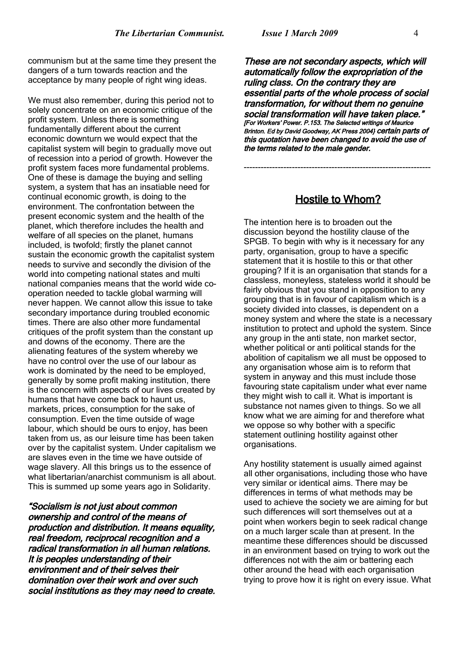communism but at the same time they present the dangers of a turn towards reaction and the acceptance by many people of right wing ideas.

We must also remember, during this period not to solely concentrate on an economic critique of the profit system. Unless there is something fundamentally different about the current economic downturn we would expect that the capitalist system will begin to gradually move out of recession into a period of growth. However the profit system faces more fundamental problems. One of these is damage the buying and selling system, a system that has an insatiable need for continual economic growth, is doing to the environment. The confrontation between the present economic system and the health of the planet, which therefore includes the health and welfare of all species on the planet, humans included, is twofold; firstly the planet cannot sustain the economic growth the capitalist system needs to survive and secondly the division of the world into competing national states and multi national companies means that the world wide cooperation needed to tackle global warming will never happen. We cannot allow this issue to take secondary importance during troubled economic times. There are also other more fundamental critiques of the profit system than the constant up and downs of the economy. There are the alienating features of the system whereby we have no control over the use of our labour as work is dominated by the need to be employed, generally by some profit making institution, there is the concern with aspects of our lives created by humans that have come back to haunt us, markets, prices, consumption for the sake of consumption. Even the time outside of wage labour, which should be ours to enjoy, has been taken from us, as our leisure time has been taken over by the capitalist system. Under capitalism we are slaves even in the time we have outside of wage slavery. All this brings us to the essence of what libertarian/anarchist communism is all about. This is summed up some years ago in Solidarity.

"Socialism is not just about common ownership and control of the means of production and distribution. It means equality, real freedom, reciprocal recognition and a radical transformation in all human relations. It is peoples understanding of their environment and of their selves their domination over their work and over such social institutions as they may need to create.

These are not secondary aspects, which will automatically follow the expropriation of the ruling class. On the contrary they are essential parts of the whole process of social transformation, for without them no genuine social transformation will have taken place." [For Workers' Power. P.153. The Selected writings of Maurice -<br>Brinton. Ed by David Goodway, AK Press 2004} Certain parts of this quotation have been changed to avoid the use of the terms related to the male gender.

## Hostile to Whom?

------------------------------------------------------------------

The intention here is to broaden out the discussion beyond the hostility clause of the SPGB. To begin with why is it necessary for any party, organisation, group to have a specific statement that it is hostile to this or that other grouping? If it is an organisation that stands for a classless, moneyless, stateless world it should be fairly obvious that you stand in opposition to any grouping that is in favour of capitalism which is a society divided into classes, is dependent on a money system and where the state is a necessary institution to protect and uphold the system. Since any group in the anti state, non market sector, whether political or anti political stands for the abolition of capitalism we all must be opposed to any organisation whose aim is to reform that system in anyway and this must include those favouring state capitalism under what ever name they might wish to call it. What is important is substance not names given to things. So we all know what we are aiming for and therefore what we oppose so why bother with a specific statement outlining hostility against other organisations.

Any hostility statement is usually aimed against all other organisations, including those who have very similar or identical aims. There may be differences in terms of what methods may be used to achieve the society we are aiming for but such differences will sort themselves out at a point when workers begin to seek radical change on a much larger scale than at present. In the meantime these differences should be discussed in an environment based on trying to work out the differences not with the aim or battering each other around the head with each organisation trying to prove how it is right on every issue. What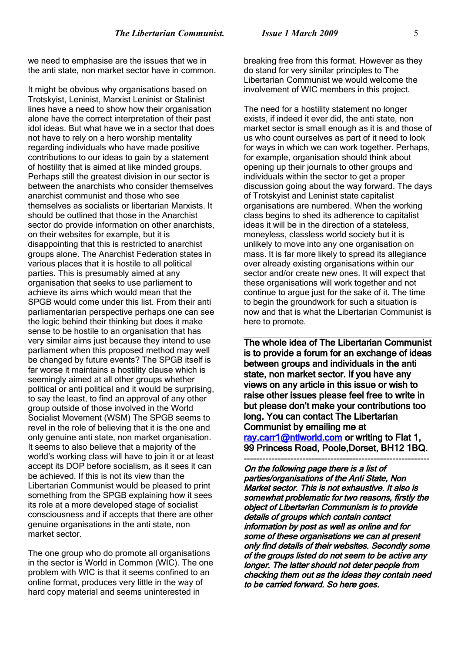we need to emphasise are the issues that we in the anti state, non market sector have in common.

It might be obvious why organisations based on Trotskyist, Leninist, Marxist Leninist or Stalinist lines have a need to show how their organisation alone have the correct interpretation of their past idol ideas. But what have we in a sector that does not have to rely on a hero worship mentality regarding individuals who have made positive contributions to our ideas to gain by a statement of hostility that is aimed at like minded groups. Perhaps still the greatest division in our sector is between the anarchists who consider themselves anarchist communist and those who see themselves as socialists or libertarian Marxists. It should be outlined that those in the Anarchist sector do provide information on other anarchists, on their websites for example, but it is disappointing that this is restricted to anarchist groups alone. The Anarchist Federation states in various places that it is hostile to all political parties. This is presumably aimed at any organisation that seeks to use parliament to achieve its aims which would mean that the SPGB would come under this list. From their anti parliamentarian perspective perhaps one can see the logic behind their thinking but does it make sense to be hostile to an organisation that has very similar aims just because they intend to use parliament when this proposed method may well be changed by future events? The SPGB itself is far worse it maintains a hostility clause which is seemingly aimed at all other groups whether political or anti political and it would be surprising, to say the least, to find an approval of any other group outside of those involved in the World Socialist Movement (WSM) The SPGB seems to revel in the role of believing that it is the one and only genuine anti state, non market organisation. It seems to also believe that a majority of the world's working class will have to join it or at least accept its DOP before socialism, as it sees it can be achieved. If this is not its view than the Libertarian Communist would be pleased to print something from the SPGB explaining how it sees its role at a more developed stage of socialist consciousness and if accepts that there are other genuine organisations in the anti state, non market sector.

The one group who do promote all organisations in the sector is World in Common (WIC). The one problem with WIC is that it seems confined to an online format, produces very little in the way of hard copy material and seems uninterested in

breaking free from this format. However as they do stand for very similar principles to The Libertarian Communist we would welcome the involvement of WIC members in this project.

The need for a hostility statement no longer exists, if indeed it ever did, the anti state, non market sector is small enough as it is and those of us who count ourselves as part of it need to look for ways in which we can work together. Perhaps, for example, organisation should think about opening up their journals to other groups and individuals within the sector to get a proper discussion going about the way forward. The days of Trotskyist and Leninist state capitalist organisations are numbered. When the working class begins to shed its adherence to capitalist ideas it will be in the direction of a stateless, moneyless, classless world society but it is unlikely to move into any one organisation on mass. It is far more likely to spread its allegiance over already existing organisations within our sector and/or create new ones. It will expect that these organisations will work together and not continue to argue just for the sake of it. The time to begin the groundwork for such a situation is now and that is what the Libertarian Communist is here to promote.

The whole idea of The Libertarian Communist is to provide a forum for an exchange of ideas between groups and individuals in the anti state, non market sector. If you have any views on any article in this issue or wish to raise other issues please feel free to write in but please don't make your contributions too long. You can contact The Libertarian Communist by emailing me at [ray.carr1@ntlworld.com](mailto:ray.carr1@ntlworld.com) or writing to Flat 1, 99 Princess Road, Poole,Dorset, BH12 1BQ. ------------------------------------------------------------

On the following page there is a list of parties/organisations of the Anti State, Non Market sector. This is not exhaustive. It also is somewhat problematic for two reasons, firstly the object of Libertarian Communism is to provide details of groups which contain contact information by post as well as online and for some of these organisations we can at present only find details of their websites. Secondly some of the groups listed do not seem to be active any longer. The latter should not deter people from checking them out as the ideas they contain need to be carried forward. So here goes.